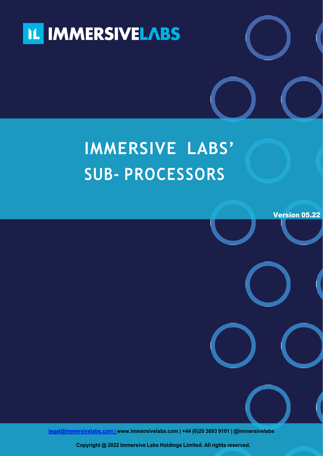

## **IMMERSIVE LABS' SUB- PROCESSORS**

Version 05.22

**[legal@immersivelabs.com](mailto:legal@immersivelabs.com) | [www.immersivelabs.com](http://www.immersivelabs.com/) | +44 (0)20 3893 9101 | @immersivelabs**

**Copyright @ 2022 Immersive Labs Holdings Limited. All rights reserved.**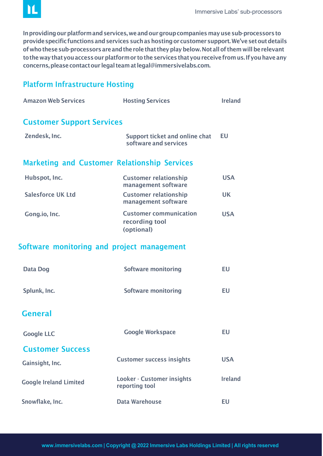

In providing our platform and services, we and our group companies may use sub-processors to provide specific functions and services such as hosting or customer support. We've set out details of who these sub-processors are and the role that they play below. Not all of them will be relevant tothewaythatyouaccessourplatformor tothe services thatyoureceivefromus.Ifyouhaveany concerns,pleasecontactour legal teamat [legal@immersivelabs.com.](mailto:legal@immersivelabs.com)

## Platform Infrastructure Hosting

| <b>Amazon Web Services</b>                          | <b>Hosting Services</b>                                       | <b>Ireland</b> |
|-----------------------------------------------------|---------------------------------------------------------------|----------------|
| <b>Customer Support Services</b>                    |                                                               |                |
| Zendesk, Inc.                                       | Support ticket and online chat<br>software and services       | <b>EU</b>      |
| <b>Marketing and Customer Relationship Services</b> |                                                               |                |
| Hubspot, Inc.                                       | <b>Customer relationship</b><br>management software           | <b>USA</b>     |
| <b>Salesforce UK Ltd</b>                            | <b>Customer relationship</b><br>management software           | <b>UK</b>      |
| Gong.io, Inc.                                       | <b>Customer communication</b><br>recording tool<br>(optional) | <b>USA</b>     |
| Software monitoring and project management          |                                                               |                |
| <b>Data Dog</b>                                     | <b>Software monitoring</b>                                    | <b>EU</b>      |
| Splunk, Inc.                                        | <b>Software monitoring</b>                                    | EU             |
| <b>General</b>                                      |                                                               |                |
| <b>Google LLC</b>                                   | <b>Google Workspace</b>                                       | EU             |
| <b>Customer Success</b>                             |                                                               |                |
| Gainsight, Inc.                                     | <b>Customer success insights</b>                              | <b>USA</b>     |
| <b>Google Ireland Limited</b>                       | Looker - Customer insights<br>reporting tool                  | <b>Ireland</b> |
| Snowflake, Inc.                                     | <b>Data Warehouse</b>                                         | <b>EU</b>      |